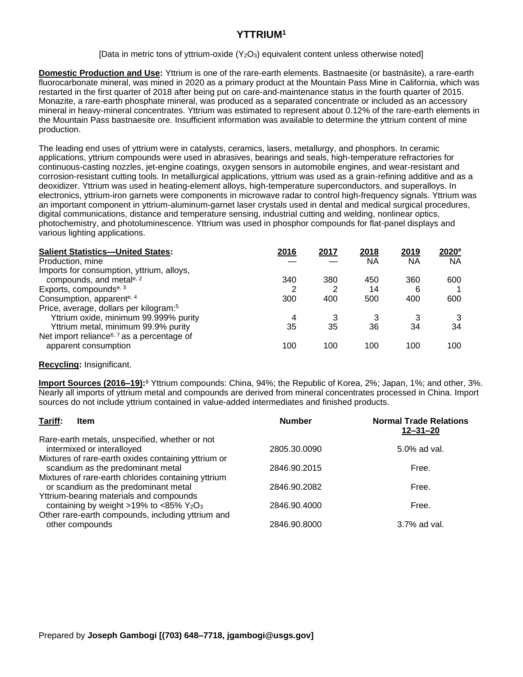## **YTTRIUM<sup>1</sup>**

[Data in metric tons of yttrium-oxide  $(Y_2O_3)$  equivalent content unless otherwise noted]

**Domestic Production and Use:** Yttrium is one of the rare-earth elements. Bastnaesite (or bastnäsite), a rare-earth fluorocarbonate mineral, was mined in 2020 as a primary product at the Mountain Pass Mine in California, which was restarted in the first quarter of 2018 after being put on care-and-maintenance status in the fourth quarter of 2015. Monazite, a rare-earth phosphate mineral, was produced as a separated concentrate or included as an accessory mineral in heavy-mineral concentrates. Yttrium was estimated to represent about 0.12% of the rare-earth elements in the Mountain Pass bastnaesite ore. Insufficient information was available to determine the yttrium content of mine production.

The leading end uses of yttrium were in catalysts, ceramics, lasers, metallurgy, and phosphors. In ceramic applications, yttrium compounds were used in abrasives, bearings and seals, high-temperature refractories for continuous-casting nozzles, jet-engine coatings, oxygen sensors in automobile engines, and wear-resistant and corrosion-resistant cutting tools. In metallurgical applications, yttrium was used as a grain-refining additive and as a deoxidizer. Yttrium was used in heating-element alloys, high-temperature superconductors, and superalloys. In electronics, yttrium-iron garnets were components in microwave radar to control high-frequency signals. Yttrium was an important component in yttrium-aluminum-garnet laser crystals used in dental and medical surgical procedures, digital communications, distance and temperature sensing, industrial cutting and welding, nonlinear optics, photochemistry, and photoluminescence. Yttrium was used in phosphor compounds for flat-panel displays and various lighting applications.

| <b>Salient Statistics-United States:</b>               | 2016 | 2017 | 2018 | 2019 | $2020^{\circ}$ |
|--------------------------------------------------------|------|------|------|------|----------------|
| Production, mine                                       |      |      | ΝA   | ΝA   | <b>NA</b>      |
| Imports for consumption, yttrium, alloys,              |      |      |      |      |                |
| compounds, and metale, 2                               | 340  | 380  | 450  | 360  | 600            |
| Exports, compounds <sup>e, 3</sup>                     | 2    | 2    | 14   | 6    |                |
| Consumption, apparente, 4                              | 300  | 400  | 500  | 400  | 600            |
| Price, average, dollars per kilogram: <sup>5</sup>     |      |      |      |      |                |
| Yttrium oxide, minimum 99.999% purity                  | 4    | 3    |      | 3    |                |
| Yttrium metal, minimum 99.9% purity                    | 35   | 35   | 36   | 34   | 34             |
| Net import reliance <sup>6, 7</sup> as a percentage of |      |      |      |      |                |
| apparent consumption                                   | 100  | 100  | 100  | 100  | 100            |

## **Recycling:** Insignificant.

**Import Sources (2016–19):**<sup>8</sup> Yttrium compounds: China, 94%; the Republic of Korea, 2%; Japan, 1%; and other, 3%. Nearly all imports of yttrium metal and compounds are derived from mineral concentrates processed in China. Import sources do not include yttrium contained in value-added intermediates and finished products.

| Tariff:<br>Item                                                                             | <b>Number</b> | <b>Normal Trade Relations</b><br>$12 - 31 - 20$ |
|---------------------------------------------------------------------------------------------|---------------|-------------------------------------------------|
| Rare-earth metals, unspecified, whether or not<br>intermixed or interalloyed                | 2805.30.0090  | 5.0% ad val.                                    |
| Mixtures of rare-earth oxides containing yttrium or<br>scandium as the predominant metal    | 2846.90.2015  | Free.                                           |
| Mixtures of rare-earth chlorides containing yttrium<br>or scandium as the predominant metal | 2846.90.2082  | Free.                                           |
| Yttrium-bearing materials and compounds<br>containing by weight >19% to <85% $Y_2O_3$       | 2846.90.4000  | Free.                                           |
| Other rare-earth compounds, including yttrium and<br>other compounds                        | 2846.90.8000  | 3.7% ad val.                                    |